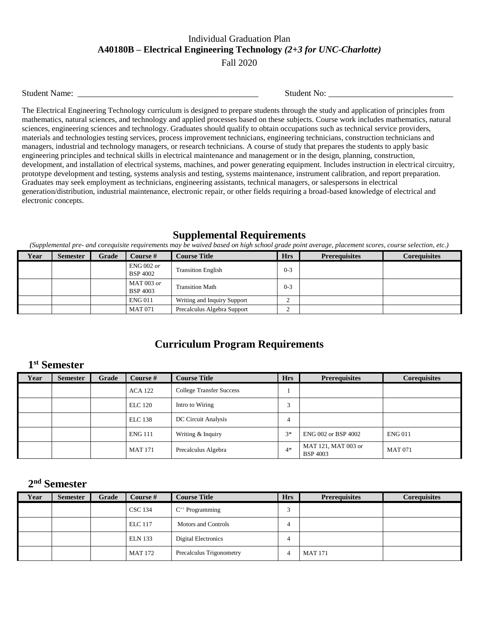#### Individual Graduation Plan **A40180B – Electrical Engineering Technology** *(2+3 for UNC-Charlotte)* Fall 2020

Student Name: \_\_\_\_\_\_\_\_\_\_\_\_\_\_\_\_\_\_\_\_\_\_\_\_\_\_\_\_\_\_\_\_\_\_\_\_\_\_\_\_\_\_ Student No: \_\_\_\_\_\_\_\_\_\_\_\_\_\_\_\_\_\_\_\_\_\_\_\_\_\_\_\_\_

The Electrical Engineering Technology curriculum is designed to prepare students through the study and application of principles from mathematics, natural sciences, and technology and applied processes based on these subjects. Course work includes mathematics, natural sciences, engineering sciences and technology. Graduates should qualify to obtain occupations such as technical service providers, materials and technologies testing services, process improvement technicians, engineering technicians, construction technicians and managers, industrial and technology managers, or research technicians. A course of study that prepares the students to apply basic engineering principles and technical skills in electrical maintenance and management or in the design, planning, construction, development, and installation of electrical systems, machines, and power generating equipment. Includes instruction in electrical circuitry, prototype development and testing, systems analysis and testing, systems maintenance, instrument calibration, and report preparation. Graduates may seek employment as technicians, engineering assistants, technical managers, or salespersons in electrical generation/distribution, industrial maintenance, electronic repair, or other fields requiring a broad-based knowledge of electrical and electronic concepts.

#### **Supplemental Requirements**

*(Supplemental pre- and corequisite requirements may be waived based on high school grade point average, placement scores, course selection, etc.)*

| Year | <b>Semester</b> | Grade | Course $#$                      | <b>Course Title</b>         | <b>Hrs</b> | <b>Prerequisites</b> | <b>Corequisites</b> |
|------|-----------------|-------|---------------------------------|-----------------------------|------------|----------------------|---------------------|
|      |                 |       | $ENG 002$ or<br><b>BSP 4002</b> | <b>Transition English</b>   | $0 - 3$    |                      |                     |
|      |                 |       | MAT 003 or<br><b>BSP 4003</b>   | <b>Transition Math</b>      | $0 - 3$    |                      |                     |
|      |                 |       | <b>ENG011</b>                   | Writing and Inquiry Support | ∸          |                      |                     |
|      |                 |       | <b>MAT 071</b>                  | Precalculus Algebra Support |            |                      |                     |

# **Curriculum Program Requirements**

## **1 st Semester**

| Year | <b>Semester</b> | Grade | Course #       | <b>Course Title</b>             | <b>Hrs</b> | <b>Prerequisites</b>                   | <b>Corequisites</b> |
|------|-----------------|-------|----------------|---------------------------------|------------|----------------------------------------|---------------------|
|      |                 |       | <b>ACA 122</b> | <b>College Transfer Success</b> |            |                                        |                     |
|      |                 |       | <b>ELC</b> 120 | Intro to Wiring                 | 3          |                                        |                     |
|      |                 |       | <b>ELC</b> 138 | DC Circuit Analysis             | 4          |                                        |                     |
|      |                 |       | <b>ENG 111</b> | Writing & Inquiry               | $3*$       | ENG 002 or BSP 4002                    | <b>ENG011</b>       |
|      |                 |       | <b>MAT 171</b> | Precalculus Algebra             | $4*$       | MAT 121, MAT 003 or<br><b>BSP 4003</b> | <b>MAT 071</b>      |

## **2 nd Semester**

| Year | <b>Semester</b> | Grade | Course #       | <b>Course Title</b>        | <b>Hrs</b>  | <b>Prerequisites</b> | <b>Coreguisites</b> |
|------|-----------------|-------|----------------|----------------------------|-------------|----------------------|---------------------|
|      |                 |       | <b>CSC 134</b> | $C^{++}$ Programming       | $\sim$<br>◡ |                      |                     |
|      |                 |       | <b>ELC</b> 117 | <b>Motors and Controls</b> | 4           |                      |                     |
|      |                 |       | <b>ELN</b> 133 | Digital Electronics        | 4           |                      |                     |
|      |                 |       | <b>MAT 172</b> | Precalculus Trigonometry   |             | <b>MAT 171</b>       |                     |